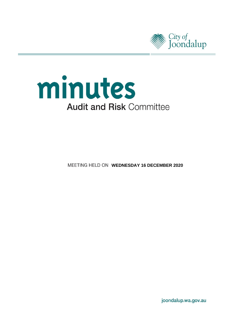



**MEETING HELD ON WEDNESDAY 16 DECEMBER 2020** 

joondalup.wa.gov.au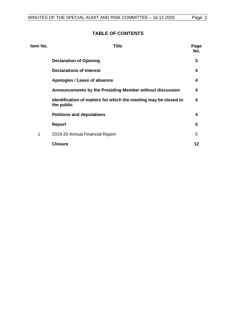# **TABLE OF CONTENTS**

| Item No. | <b>Title</b>                                                                   | Page<br>No. |
|----------|--------------------------------------------------------------------------------|-------------|
|          | <b>Declaration of Opening</b>                                                  | 3           |
|          | <b>Declarations of Interest</b>                                                | 4           |
|          | Apologies / Leave of absence                                                   | 4           |
|          | Announcements by the Presiding Member without discussion                       | 4           |
|          | Identification of matters for which the meeting may be closed to<br>the public | 4           |
|          | <b>Petitions and deputations</b>                                               | 4           |
|          | <b>Report</b>                                                                  | 5           |
| 1        | 2019-20 Annual Financial Report                                                | 5           |
|          | <b>Closure</b>                                                                 | 12          |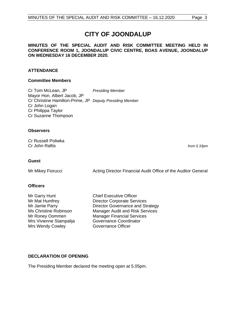# **CITY OF JOONDALUP**

**MINUTES OF THE SPECIAL AUDIT AND RISK COMMITTEE MEETING HELD IN CONFERENCE ROOM 1, JOONDALUP CIVIC CENTRE, BOAS AVENUE, JOONDALUP ON WEDNESDAY 16 DECEMBER 2020.**

# **ATTENDANCE**

### **Committee Members**

Cr Tom McLean, JP *Presiding Member* Mayor Hon. Albert Jacob, JP Cr Christine Hamilton-Prime, JP *Deputy Presiding Member* Cr John Logan Cr Philippa Taylor Cr Suzanne Thompson

#### **Observers**

Cr Russell Poliwka Cr John Raftis *from 5.33pm*

#### **Guest**

Mr Mikey Fiorucci **Acting Director Financial Audit Office of the Auditor General** 

# **Officers**

Mr Garry Hunt Chief Executive Officer Mrs Vivienne Stampalija Mrs Wendy Cowley **Governance Officer** 

Mr Mat Humfrey **Director Corporate Services** Mr Jamie Parry **Director Governance and Strategy** Ms Christine Robinson Manager Audit and Risk Services Mr Roney Oommen Manager Financial Services<br>
Mrs Vivienne Stampaliia Governance Coordinator

# <span id="page-2-0"></span>**DECLARATION OF OPENING**

The Presiding Member declared the meeting open at 5.05pm.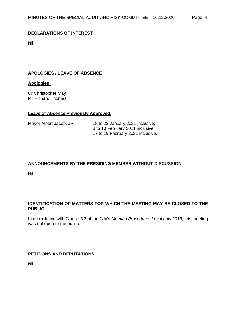# <span id="page-3-0"></span>**DECLARATIONS OF INTEREST**

Nil.

# <span id="page-3-1"></span>**APOLOGIES / LEAVE OF ABSENCE**

### **Apologies:**

Cr Christopher May Mr Richard Thomas

#### **Leave of Absence Previously Approved:**

| Mayor Albert Jacob, JP | 18 to 22 January 2021 inclusive;  |
|------------------------|-----------------------------------|
|                        | 8 to 10 February 2021 inclusive;  |
|                        | 17 to 19 February 2021 inclusive. |

# <span id="page-3-2"></span>**ANNOUNCEMENTS BY THE PRESIDING MEMBER WITHOUT DISCUSSION**

Nil.

# <span id="page-3-3"></span>**IDENTIFICATION OF MATTERS FOR WHICH THE MEETING MAY BE CLOSED TO THE PUBLIC**

In accordance with Clause 5.2 of the City's *Meeting Procedures Local Law 2013*, this meeting was not open to the public.

# <span id="page-3-4"></span>**PETITIONS AND DEPUTATIONS**

Nil.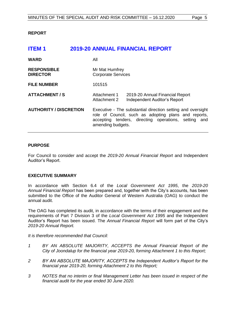### <span id="page-4-0"></span>**REPORT**

<span id="page-4-1"></span>

| <b>ITEM1</b>                          | <b>2019-20 ANNUAL FINANCIAL REPORT</b> |                                                                                                                                                                                                  |                                                                        |
|---------------------------------------|----------------------------------------|--------------------------------------------------------------------------------------------------------------------------------------------------------------------------------------------------|------------------------------------------------------------------------|
| <b>WARD</b>                           |                                        | All                                                                                                                                                                                              |                                                                        |
| <b>RESPONSIBLE</b><br><b>DIRECTOR</b> |                                        | Mr Mat Humfrey<br><b>Corporate Services</b>                                                                                                                                                      |                                                                        |
| <b>FILE NUMBER</b>                    |                                        | 101515                                                                                                                                                                                           |                                                                        |
| <b>ATTACHMENT / S</b>                 |                                        | Attachment 1<br>Attachment 2                                                                                                                                                                     | 2019-20 Annual Financial Report<br><b>Independent Auditor's Report</b> |
| <b>AUTHORITY / DISCRETION</b>         |                                        | Executive - The substantial direction setting and oversight<br>role of Council, such as adopting plans and reports,<br>accepting tenders, directing operations, setting and<br>amending budgets. |                                                                        |

#### **PURPOSE**

For Council to consider and accept the *2019-20 Annual Financial Report* and Independent Auditor's Report.

#### **EXECUTIVE SUMMARY**

In accordance with Section 6.4 of the *Local Government Act 1995*, the *2019-20 Annual Financial Report* has been prepared and, together with the City's accounts, has been submitted to the Office of the Auditor General of Western Australia (OAG) to conduct the annual audit.

The OAG has completed its audit, in accordance with the terms of their engagement and the requirements of Part 7 Division 3 of the *Local Government Act 1995* and the Independent Auditor's Report has been issued. The *Annual Financial Report* will form part of the City's *2019-20 Annual Report.* 

*It is therefore recommended that Council:*

- *1 BY AN ABSOLUTE MAJORITY, ACCEPTS the Annual Financial Report of the City of Joondalup for the financial year 2019-20, forming Attachment 1 to this Report;*
- *2 BY AN ABSOLUTE MAJORITY, ACCEPTS the Independent Auditor's Report for the financial year 2019-20, forming Attachment 2 to this Report;*
- *3 NOTES that no interim or final Management Letter has been issued in respect of the financial audit for the year ended 30 June 2020.*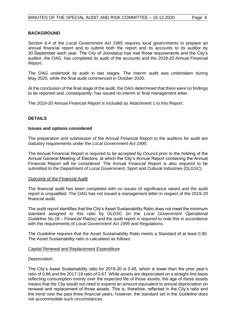### **BACKGROUND**

Section 6.4 of the *Local Government Act 1995* requires local governments to prepare an annual financial report and to submit both the report and its accounts to its auditor by 30 September each year. The City of Joondalup has met those requirements and the City's auditor, the OAG, has completed its audit of the accounts and the *2019-20 Annual Financial Report*.

The OAG undertook its audit in two stages. The interim audit was undertaken during May 2020, while the final audit commenced in October 2020.

At the conclusion of the final stage of the audit, the OAG determined that there were no findings to be reported and, consequently, has issued no interim or final management letter.

The *2019-20 Annual Financial Report* is included as Attachment 1 to this Report.

# **DETAILS**

#### **Issues and options considered**

The preparation and submission of the Annual Financial Report to the auditors for audit are statutory requirements under the *Local Government Act 1995*.

The Annual Financial Report is required to be accepted by Council prior to the holding of the Annual General Meeting of Electors, at which the City's Annual Report containing the Annual Financial Report will be considered. The Annual Financial Report is also required to be submitted to the Department of Local Government, Sport and Cultural Industries (DLGSC).

#### Outcome of the Financial Audit

The financial audit has been completed with no issues of significance raised and the audit report is unqualified. The OAG has not issued a management letter in respect of the 2019-20 financial audit.

The audit report identifies that the City's Asset Sustainability Ratio does not meet the minimum standard assigned to this ratio by DLGSC (in the *Local Government Operational Guideline No.18 – Financial Ratios)* and the audit report is required to note this in accordance with the requirements of *Local Government Act 1995* and Regulations.

The *Guideline* requires that the Asset Sustainability Ratio meets a Standard of at least 0.90. The Asset Sustainability ratio is calculated as follows:

#### Capital Renewal and Replacement Expenditure

#### **Depreciation**

The City's Asset Sustainability ratio for 2019-20 is 0.45, which is lower than the prior year's ratio of 0.66 and the 2017-18 ratio of 0.67. While assets are depreciated on a straight-line basis reflecting consumption evenly over the expected life of those assets, the age of these assets means that the City would not need to expend an amount equivalent to annual depreciation on renewal and replacement of those assets. This is, therefore, reflected in the City's ratio and the trend over the past three financial years, however, the standard set in the *Guideline* does not accommodate such circumstances.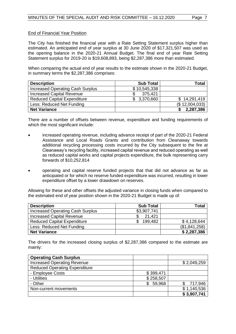### End of Financial Year Position

The City has finished the financial year with a Rate Setting Statement surplus higher than estimated. An anticipated end of year surplus at 30 June 2020 of \$17,321,507 was used as the opening balance in the 2020-21 Annual Budget. The final end of year Rate Setting Statement surplus for 2019-20 is \$19,608,893, being \$2,287,386 more than estimated.

When comparing the actual end of year results to the estimate shown in the 2020-21 Budget, in summary terms the \$2,287,386 comprises:

| <b>Description</b>                 | <b>Sub Total</b> | Total           |
|------------------------------------|------------------|-----------------|
| Increased Operating Cash Surplus   | \$10,545,338     |                 |
| <b>Increased Capital Revenue</b>   | 375,421<br>S     |                 |
| <b>Reduced Capital Expenditure</b> | \$ 3,370,660     | \$14,291,419    |
| Less: Reduced Net Funding          |                  | (\$ 12,004,033) |
| <b>Net Variance</b>                |                  | 2,287,386       |

There are a number of offsets between revenue, expenditure and funding requirements of which the most significant include:

- increased operating revenue, including advance receipt of part of the 2020-21 Federal Assistance and Local Roads Grants and contribution from Cleanaway towards additional recycling processing costs incurred by the City subsequent to the fire at Cleanaway's recycling facility, increased capital revenue and reduced operating as well as reduced capital works and capital projects expenditure, the bulk representing carry forwards of \$10,252,814
- operating and capital reserve funded projects that that did not advance as far as anticipated or for which no reserve funded expenditure was incurred, resulting in lower expenditure offset by a lower drawdown on reserves.

Allowing for these and other offsets the adjusted variance in closing funds when compared to the estimated end of year position shown in the 2020-21 Budget is made up of:

| <b>Description</b>                      | <b>Sub Total</b> | <b>Total</b>  |
|-----------------------------------------|------------------|---------------|
| <b>Increased Operating Cash Surplus</b> | \$3,907,741      |               |
| <b>Increased Capital Revenue</b>        | 21,421           |               |
| <b>Reduced Capital Expenditure</b>      | 199,482          | \$4,128,644   |
| Less: Reduced Net Funding               |                  | (\$1,841,258) |
| <b>Net Variance</b>                     |                  | \$2,287,386   |

The drivers for the increased closing surplus of \$2,287,386 compared to the estimate are mainly:

| <b>Operating Cash Surplus</b>        |           |             |
|--------------------------------------|-----------|-------------|
| <b>Increased Operating Revenue</b>   |           | \$2,049,259 |
| <b>Reduced Operating Expenditure</b> |           |             |
| - Employee Costs                     | \$399,471 |             |
| - Utilities                          | \$258,507 |             |
| - Other                              | 59,968    | 717,946     |
| Non-current movements                |           | \$1,140,536 |
|                                      |           | \$3,907,741 |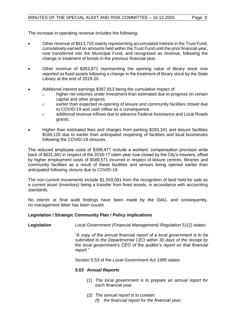The increase in operating revenue includes the following:

- Other revenue of \$613,710 mainly representing accumulated interest in the Trust Fund, cumulatively earned on amounts held within the Trust Fund until the prior financial year, now transferred into the Municipal Fund, and recognised as revenue, following the change in treatment of bonds in the previous financial year.
- Other revenue of \$353,871 representing the opening value of library stock now reported as fixed assets following a change in the treatment of library stock by the State Library at the end of 2019-20.
- Additional interest earnings \$397,813 being the cumulative impact of:
	- o higher net volumes under investment than estimated due to progress on certain capital and other projects
	- o earlier than expected re-opening of leisure and community facilities closed due to COVID-19 and cash inflow as a consequence
	- o additional revenue inflows due to advance Federal Assistance and Local Roads grants.
- Higher than estimated fees and charges from parking \$293,341 and leisure facilities \$169,120 due to earlier than anticipated reopening of facilities and local businesses following the COVID-19 closures.

The reduced employee costs of \$399,471 include a workers' compensation provision write back of \$831,381 in respect of the 2016-17 claim year now closed by the City's insurers, offset by higher employment costs of \$589,571 incurred in respect of leisure centres, libraries and community facilities as a result of these facilities and venues being opened earlier than anticipated following closure due to COVID-19.

The non-current movements include \$1,559,091 from the recognition of land held for sale as a current asset (inventory) being a transfer from fixed assets, in accordance with accounting standards.

No interim or final audit findings have been made by the OAG, and consequently, no management letter has been issued.

# **Legislation / Strategic Community Plan / Policy implications**

**Legislation** *Local Government (Financial Management) Regulation* 51(2) states:

*"A copy of the annual financial report of a local government is to be submitted to the Departmental CEO within 30 days of the receipt by the local government's CEO of the auditor's report on that financial report."*

Section 5.53 of the *Local Government Act 1995* states:

#### *5.53 Annual Reports*

- *(1) The local government is to prepare an annual report for each financial year.*
- *(2) The annual report is to contain:* 
	- *(f) the financial report for the financial year;*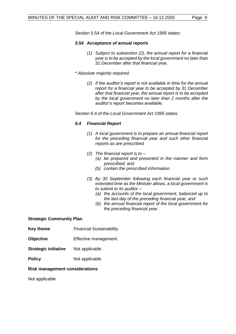Section 5.54 of the *Local Government Act 1995* states:

### *5.54 Acceptance of annual reports*

- *(1) Subject to subsection (2), the annual report for a financial year is to be accepted by the local government no later than 31 December after that financial year.*
- *\* Absolute majority required.* 
	- *(2) If the auditor's report is not available in time for the annual report for a financial year to be accepted by 31 December after that financial year, the annual report is to be accepted by the local government no later than 2 months after the auditor's report becomes available.*

Section 6.4 of the *Local Government Act 1995* states:

# *6.4 Financial Report*

- *(1) A local government is to prepare an annual financial report for the preceding financial year and such other financial reports as are prescribed.*
- *(2) The financial report is to –*
	- *(a) be prepared and presented in the manner and form prescribed; and*
	- *(b) contain the prescribed information.*
- *(3) By 30 September following each financial year or such extended time as the Minister allows, a local government is to submit to its auditor –*
	- *(a) the accounts of the local government, balanced up to the last day of the preceding financial year; and*
	- *(b) the annual financial report of the local government for the preceding financial year.*

# **Strategic Community Plan**

- **Key theme** Financial Sustainability.
- **Objective** Effective management.
- **Strategic initiative** Not applicable.
- **Policy** Not applicable.

# **Risk management considerations**

Not applicable.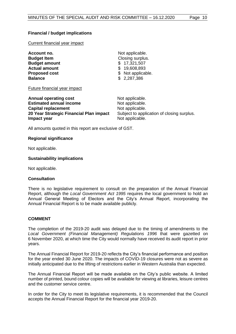# **Financial / budget implications**

Current financial year impact

| Not applicable.    |  |  |
|--------------------|--|--|
| Closing surplus.   |  |  |
| \$17,321,507       |  |  |
| \$19,608,893       |  |  |
| \$ Not applicable. |  |  |
| \$2,287,386        |  |  |
|                    |  |  |

#### Future financial year impact

| <b>Annual operating cost</b>            | Not applicable.                            |
|-----------------------------------------|--------------------------------------------|
| <b>Estimated annual income</b>          | Not applicable.                            |
| <b>Capital replacement</b>              | Not applicable.                            |
| 20 Year Strategic Financial Plan impact | Subject to application of closing surplus. |
| Impact year                             | Not applicable.                            |

All amounts quoted in this report are exclusive of GST.

#### **Regional significance**

Not applicable.

#### **Sustainability implications**

Not applicable.

# **Consultation**

There is no legislative requirement to consult on the preparation of the Annual Financial Report, although the *Local Government Act 1995* requires the local government to hold an Annual General Meeting of Electors and the City's Annual Report, incorporating the Annual Financial Report is to be made available publicly.

# **COMMENT**

The completion of the 2019-20 audit was delayed due to the timing of amendments to the *Local Government (Financial Management) Regulations 1996* that were gazetted on 6 November 2020, at which time the City would normally have received its audit report in prior years.

The Annual Financial Report for 2019-20 reflects the City's financial performance and position for the year ended 30 June 2020. The impacts of COVID-19 closures were not as severe as initially anticipated due to the lifting of restrictions earlier in Western Australia than expected.

The Annual Financial Report will be made available on the City's public website. A limited number of printed, bound colour copies will be available for viewing at libraries, leisure centres and the customer service centre.

In order for the City to meet its legislative requirements, it is recommended that the Council accepts the Annual Financial Report for the financial year 2019-20.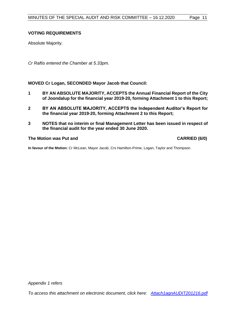# **VOTING REQUIREMENTS**

Absolute Majority.

*Cr Raftis entered the Chamber at 5.33pm.*

**MOVED Cr Logan, SECONDED Mayor Jacob that Council:**

- **1 BY AN ABSOLUTE MAJORITY, ACCEPTS the Annual Financial Report of the City of Joondalup for the financial year 2019-20, forming Attachment 1 to this Report;**
- **2 BY AN ABSOLUTE MAJORITY, ACCEPTS the Independent Auditor's Report for the financial year 2019-20, forming Attachment 2 to this Report;**
- **3 NOTES that no interim or final Management Letter has been issued in respect of the financial audit for the year ended 30 June 2020.**

#### **The Motion was Put and CARRIED (6/0)**

**In favour of the Motion:** Cr McLean, Mayor Jacob, Crs Hamilton-Prime, Logan, Taylor and Thompson.

*Appendix 1 refers*

*[To access this attachment on electronic document, click here: Attach1agnAUDIT201216.pdf](http://www.joondalup.wa.gov.au/files/committees/AURI/2020/Attach1agnAUDIT201216.pdf)*